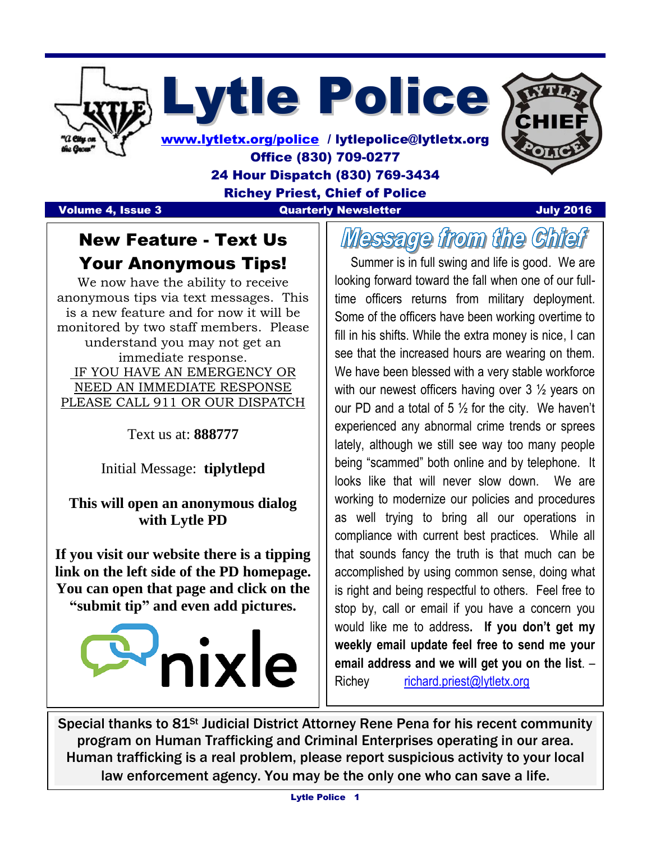

Lytle Police

[www.lytletx.org/police](http://www.lytletx.org/police) / lytlepolice@lytletx.org Office (830) 709-0277 24 Hour Dispatch (830) 769-3434 Richey Priest, Chief of Police

  $\overline{\phantom{a}}$ 

## **Volume 4, Issue 3** Constitution Construction Construction Construction Construction Construction Construction Con

## New Feature - Text Us Your Anonymous Tips!

We now have the ability to receive anonymous tips via text messages. This is a new feature and for now it will be monitored by two staff members. Please understand you may not get an immediate response. IF YOU HAVE AN EMERGENCY OR NEED AN IMMEDIATE RESPONSE PLEASE CALL 911 OR OUR DISPATCH

Text us at: **888777**

Initial Message: **tiplytlepd**

**This will open an anonymous dialog with Lytle PD**

**If you visit our website there is a tipping link on the left side of the PD homepage. You can open that page and click on the "submit tip" and even add pictures.** 



Message from the Chief

 Summer is in full swing and life is good. We are looking forward toward the fall when one of our fulltime officers returns from military deployment. Some of the officers have been working overtime to fill in his shifts. While the extra money is nice, I can see that the increased hours are wearing on them. We have been blessed with a very stable workforce with our newest officers having over 3  $\frac{1}{2}$  years on our PD and a total of 5  $\frac{1}{2}$  for the city. We haven't experienced any abnormal crime trends or sprees lately, although we still see way too many people being "scammed" both online and by telephone. It looks like that will never slow down. We are working to modernize our policies and procedures as well trying to bring all our operations in compliance with current best practices. While all that sounds fancy the truth is that much can be accomplished by using common sense, doing what is right and being respectful to others. Feel free to stop by, call or email if you have a concern you would like me to address**. If you don't get my weekly email update feel free to send me your email address and we will get you on the list**. – Richey [richard.priest@lytletx.org](mailto:richard.priest@lytletx.org)

Special thanks to 81<sup>st</sup> Judicial District Attorney Rene Pena for his recent community program on Human Trafficking and Criminal Enterprises operating in our area. Human trafficking is a real problem, please report suspicious activity to your local law enforcement agency. You may be the only one who can save a life.